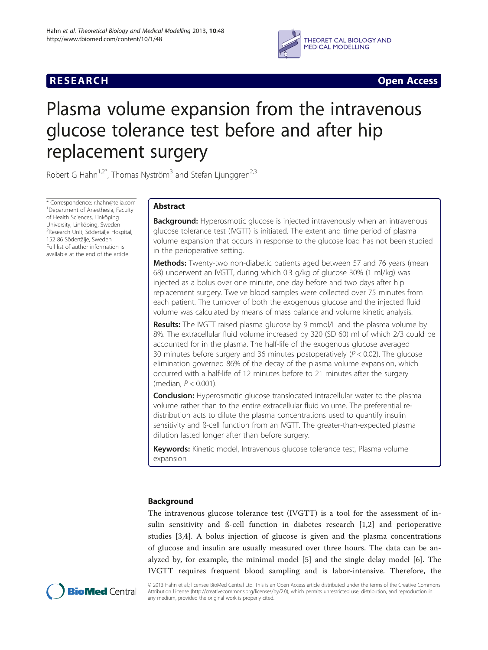

**RESEARCH CHINESE ARCH CHINESE ARCH CHINESE ARCH <b>CHINESE ARCH** 

# Plasma volume expansion from the intravenous glucose tolerance test before and after hip replacement surgery

Robert G Hahn<sup>1,2\*</sup>, Thomas Nyström<sup>3</sup> and Stefan Ljunggren<sup>2,3</sup>

\* Correspondence: [r.hahn@telia.com](mailto:r.hahn@telia.com) <sup>1</sup> <sup>1</sup>Department of Anesthesia, Faculty of Health Sciences, Linköping University, Linköping, Sweden <sup>2</sup>Research Unit, Södertälje Hospital, 152 86 Södertälje, Sweden Full list of author information is available at the end of the article

# Abstract

**Background:** Hyperosmotic glucose is injected intravenously when an intravenous glucose tolerance test (IVGTT) is initiated. The extent and time period of plasma volume expansion that occurs in response to the glucose load has not been studied in the perioperative setting.

Methods: Twenty-two non-diabetic patients aged between 57 and 76 years (mean 68) underwent an IVGTT, during which 0.3 g/kg of glucose 30% (1 ml/kg) was injected as a bolus over one minute, one day before and two days after hip replacement surgery. Twelve blood samples were collected over 75 minutes from each patient. The turnover of both the exogenous glucose and the injected fluid volume was calculated by means of mass balance and volume kinetic analysis.

**Results:** The IVGTT raised plasma glucose by 9 mmol/L and the plasma volume by 8%. The extracellular fluid volume increased by 320 (SD 60) ml of which 2/3 could be accounted for in the plasma. The half-life of the exogenous glucose averaged 30 minutes before surgery and 36 minutes postoperatively ( $P < 0.02$ ). The glucose elimination governed 86% of the decay of the plasma volume expansion, which occurred with a half-life of 12 minutes before to 21 minutes after the surgery (median, P < 0.001).

**Conclusion:** Hyperosmotic glucose translocated intracellular water to the plasma volume rather than to the entire extracellular fluid volume. The preferential redistribution acts to dilute the plasma concentrations used to quantify insulin sensitivity and ß-cell function from an IVGTT. The greater-than-expected plasma dilution lasted longer after than before surgery.

Keywords: Kinetic model, Intravenous glucose tolerance test, Plasma volume expansion

# Background

The intravenous glucose tolerance test (IVGTT) is a tool for the assessment of insulin sensitivity and ß-cell function in diabetes research [[1,2](#page-7-0)] and perioperative studies [\[3](#page-7-0),[4\]](#page-8-0). A bolus injection of glucose is given and the plasma concentrations of glucose and insulin are usually measured over three hours. The data can be analyzed by, for example, the minimal model [\[5](#page-8-0)] and the single delay model [[6\]](#page-8-0). The IVGTT requires frequent blood sampling and is labor-intensive. Therefore, the



© 2013 Hahn et al.; licensee BioMed Central Ltd. This is an Open Access article distributed under the terms of the Creative Commons Attribution License (<http://creativecommons.org/licenses/by/2.0>), which permits unrestricted use, distribution, and reproduction in any medium, provided the original work is properly cited.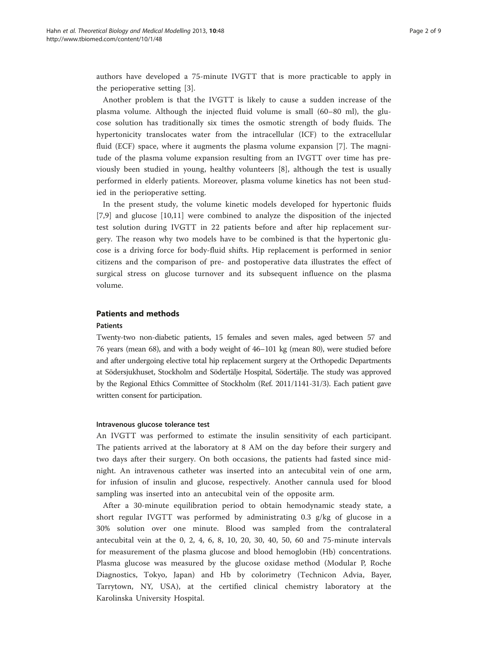authors have developed a 75-minute IVGTT that is more practicable to apply in the perioperative setting [\[3](#page-7-0)].

Another problem is that the IVGTT is likely to cause a sudden increase of the plasma volume. Although the injected fluid volume is small (60–80 ml), the glucose solution has traditionally six times the osmotic strength of body fluids. The hypertonicity translocates water from the intracellular (ICF) to the extracellular fluid (ECF) space, where it augments the plasma volume expansion [[7\]](#page-8-0). The magnitude of the plasma volume expansion resulting from an IVGTT over time has previously been studied in young, healthy volunteers [[8\]](#page-8-0), although the test is usually performed in elderly patients. Moreover, plasma volume kinetics has not been studied in the perioperative setting.

In the present study, the volume kinetic models developed for hypertonic fluids [[7,9](#page-8-0)] and glucose [\[10](#page-8-0),[11](#page-8-0)] were combined to analyze the disposition of the injected test solution during IVGTT in 22 patients before and after hip replacement surgery. The reason why two models have to be combined is that the hypertonic glucose is a driving force for body-fluid shifts. Hip replacement is performed in senior citizens and the comparison of pre- and postoperative data illustrates the effect of surgical stress on glucose turnover and its subsequent influence on the plasma volume.

# Patients and methods

# Patients

Twenty-two non-diabetic patients, 15 females and seven males, aged between 57 and 76 years (mean 68), and with a body weight of 46–101 kg (mean 80), were studied before and after undergoing elective total hip replacement surgery at the Orthopedic Departments at Södersjukhuset, Stockholm and Södertälje Hospital, Södertälje. The study was approved by the Regional Ethics Committee of Stockholm (Ref. 2011/1141-31/3). Each patient gave written consent for participation.

# Intravenous glucose tolerance test

An IVGTT was performed to estimate the insulin sensitivity of each participant. The patients arrived at the laboratory at 8 AM on the day before their surgery and two days after their surgery. On both occasions, the patients had fasted since midnight. An intravenous catheter was inserted into an antecubital vein of one arm, for infusion of insulin and glucose, respectively. Another cannula used for blood sampling was inserted into an antecubital vein of the opposite arm.

After a 30-minute equilibration period to obtain hemodynamic steady state, a short regular IVGTT was performed by administrating 0.3 g/kg of glucose in a 30% solution over one minute. Blood was sampled from the contralateral antecubital vein at the 0, 2, 4, 6, 8, 10, 20, 30, 40, 50, 60 and 75-minute intervals for measurement of the plasma glucose and blood hemoglobin (Hb) concentrations. Plasma glucose was measured by the glucose oxidase method (Modular P, Roche Diagnostics, Tokyo, Japan) and Hb by colorimetry (Technicon Advia, Bayer, Tarrytown, NY, USA), at the certified clinical chemistry laboratory at the Karolinska University Hospital.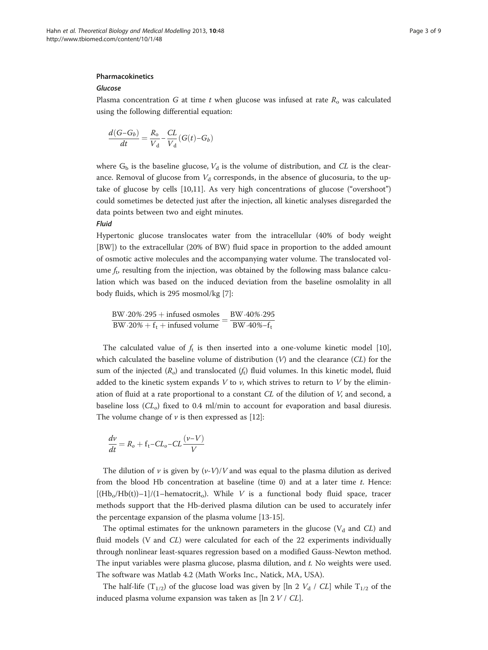# Pharmacokinetics

# Glucose

Plasma concentration G at time t when glucose was infused at rate  $R_0$  was calculated using the following differential equation:

$$
\frac{d(G-G_b)}{dt} = \frac{R_o}{V_d} - \frac{CL}{V_d} (G(t) - G_b)
$$

where  $G_b$  is the baseline glucose,  $V_d$  is the volume of distribution, and CL is the clearance. Removal of glucose from  $V<sub>d</sub>$  corresponds, in the absence of glucosuria, to the uptake of glucose by cells [[10,11](#page-8-0)]. As very high concentrations of glucose ("overshoot") could sometimes be detected just after the injection, all kinetic analyses disregarded the data points between two and eight minutes.

# Fluid

Hypertonic glucose translocates water from the intracellular (40% of body weight [BW]) to the extracellular (20% of BW) fluid space in proportion to the added amount of osmotic active molecules and the accompanying water volume. The translocated volume  $f_t$ , resulting from the injection, was obtained by the following mass balance calculation which was based on the induced deviation from the baseline osmolality in all body fluids, which is 295 mosmol/kg [[7](#page-8-0)]:

BW $\cdot$ 20% $\cdot$ 295 + infused osmoles BW $\cdot$ 40% $\cdot$ 295 BW⋅20%⋅295 + infused osmoles<br>BW⋅20% + f<sub>t</sub> + infused volume  $=$  BW⋅40%−f<sub>t</sub>

The calculated value of  $f_t$  is then inserted into a one-volume kinetic model [[10](#page-8-0)], which calculated the baseline volume of distribution  $(V)$  and the clearance  $(CL)$  for the sum of the injected  $(R<sub>o</sub>)$  and translocated  $(f<sub>t</sub>)$  fluid volumes. In this kinetic model, fluid added to the kinetic system expands  $V$  to  $\nu$ , which strives to return to  $V$  by the elimination of fluid at a rate proportional to a constant  $CL$  of the dilution of  $V$ , and second, a baseline loss  $(CL_0)$  fixed to 0.4 ml/min to account for evaporation and basal diuresis. The volume change of  $\nu$  is then expressed as [[12](#page-8-0)]:

$$
\frac{dv}{dt} = R_o + f_t - CL_o - CL \frac{(\nu - V)}{V}
$$

The dilution of  $\nu$  is given by  $(\nu\text{-}V)/V$  and was equal to the plasma dilution as derived from the blood Hb concentration at baseline (time  $0$ ) and at a later time  $t$ . Hence:  $[(Hb<sub>o</sub>/Hb(t))-1]/(1–hematocrit<sub>o</sub>)$ . While V is a functional body fluid space, tracer methods support that the Hb-derived plasma dilution can be used to accurately infer the percentage expansion of the plasma volume [[13-15](#page-8-0)].

The optimal estimates for the unknown parameters in the glucose ( $V_d$  and CL) and fluid models (V and CL) were calculated for each of the 22 experiments individually through nonlinear least-squares regression based on a modified Gauss-Newton method. The input variables were plasma glucose, plasma dilution, and t. No weights were used. The software was Matlab 4.2 (Math Works Inc., Natick, MA, USA).

The half-life (T<sub>1/2</sub>) of the glucose load was given by [ln 2  $V_d$  / CL] while T<sub>1/2</sub> of the induced plasma volume expansion was taken as  $[\ln 2 V / CL]$ .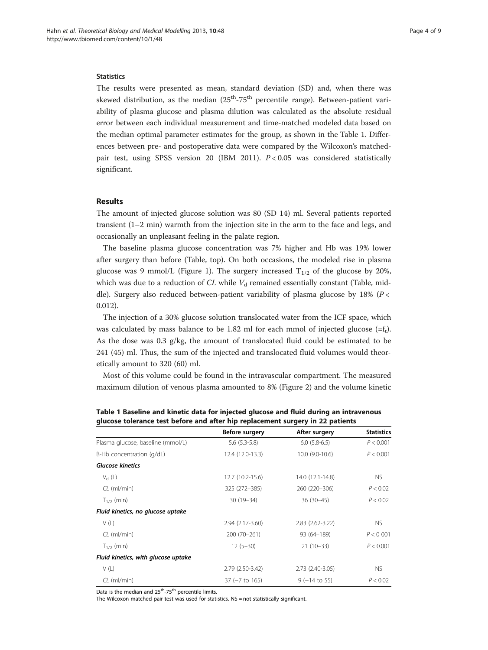## **Statistics**

The results were presented as mean, standard deviation (SD) and, when there was skewed distribution, as the median  $(25<sup>th</sup>-75<sup>th</sup>$  percentile range). Between-patient variability of plasma glucose and plasma dilution was calculated as the absolute residual error between each individual measurement and time-matched modeled data based on the median optimal parameter estimates for the group, as shown in the Table 1. Differences between pre- and postoperative data were compared by the Wilcoxon's matchedpair test, using SPSS version 20 (IBM 2011).  $P < 0.05$  was considered statistically significant.

# Results

The amount of injected glucose solution was 80 (SD 14) ml. Several patients reported transient (1–2 min) warmth from the injection site in the arm to the face and legs, and occasionally an unpleasant feeling in the palate region.

The baseline plasma glucose concentration was 7% higher and Hb was 19% lower after surgery than before (Table, top). On both occasions, the modeled rise in plasma glucose was 9 mmol/L (Figure [1](#page-4-0)). The surgery increased  $T_{1/2}$  of the glucose by 20%, which was due to a reduction of CL while  $V<sub>d</sub>$  remained essentially constant (Table, middle). Surgery also reduced between-patient variability of plasma glucose by 18% ( $P$  < 0.012).

The injection of a 30% glucose solution translocated water from the ICF space, which was calculated by mass balance to be 1.82 ml for each mmol of injected glucose  $(=\mathbf{f}_t)$ . As the dose was  $0.3$  g/kg, the amount of translocated fluid could be estimated to be 241 (45) ml. Thus, the sum of the injected and translocated fluid volumes would theoretically amount to 320 (60) ml.

Most of this volume could be found in the intravascular compartment. The measured maximum dilution of venous plasma amounted to 8% (Figure [2\)](#page-4-0) and the volume kinetic

|                                     | Before surgery    | After surgery      | <b>Statistics</b> |
|-------------------------------------|-------------------|--------------------|-------------------|
| Plasma glucose, baseline (mmol/L)   | $5.6$ $(5.3-5.8)$ | $6.0(5.8-6.5)$     | P < 0.001         |
| B-Hb concentration (g/dL)           | 12.4 (12.0-13.3)  | 10.0 (9.0-10.6)    | P < 0.001         |
| <b>Glucose kinetics</b>             |                   |                    |                   |
| $V_{d}$ (L)                         | 12.7 (10.2-15.6)  | 14.0 (12.1-14.8)   | NS.               |
| $CL$ (ml/min)                       | 325 (272-385)     | 260 (220-306)      | P < 0.02          |
| $T_{1/2}$ (min)                     | $30(19 - 34)$     | $36(30-45)$        | P < 0.02          |
| Fluid kinetics, no glucose uptake   |                   |                    |                   |
| V(L)                                | 2.94 (2.17-3.60)  | 2.83 (2.62-3.22)   | NS.               |
| $CL$ (ml/min)                       | 200 (70-261)      | 93 (64-189)        | P < 0.001         |
| $T_{1/2}$ (min)                     | $12(5 - 30)$      | $21(10-33)$        | P < 0.001         |
| Fluid kinetics, with glucose uptake |                   |                    |                   |
| V(L)                                | 2.79 (2.50-3.42)  | 2.73 (2.40-3.05)   | NS.               |
| $CL$ (ml/min)                       | $37 (-7 to 165)$  | $9$ ( $-14$ to 55) | P < 0.02          |

Table 1 Baseline and kinetic data for injected glucose and fluid during an intravenous glucose tolerance test before and after hip replacement surgery in 22 patients

Data is the median and  $25^{th}$ -75<sup>th</sup> percentile limits.

The Wilcoxon matched-pair test was used for statistics. NS = not statistically significant.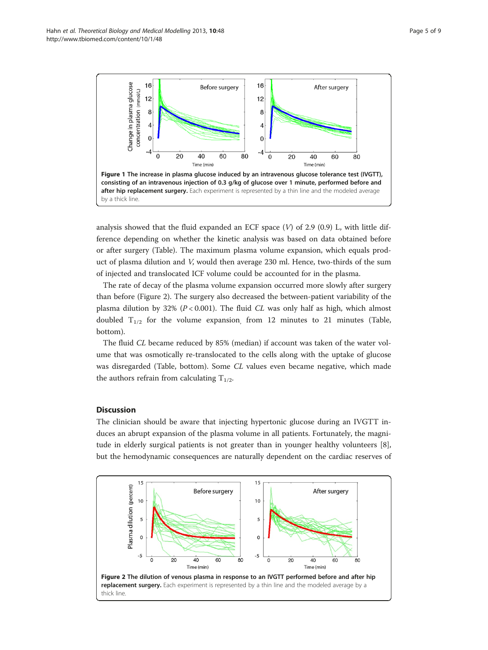<span id="page-4-0"></span>

analysis showed that the fluid expanded an ECF space  $(V)$  of 2.9 (0.9) L, with little difference depending on whether the kinetic analysis was based on data obtained before or after surgery (Table). The maximum plasma volume expansion, which equals product of plasma dilution and V, would then average 230 ml. Hence, two-thirds of the sum of injected and translocated ICF volume could be accounted for in the plasma.

The rate of decay of the plasma volume expansion occurred more slowly after surgery than before (Figure 2). The surgery also decreased the between-patient variability of the plasma dilution by 32% ( $P < 0.001$ ). The fluid CL was only half as high, which almost doubled  $T_{1/2}$  for the volume expansion, from 12 minutes to 21 minutes (Table, bottom).

The fluid CL became reduced by 85% (median) if account was taken of the water volume that was osmotically re-translocated to the cells along with the uptake of glucose was disregarded (Table, bottom). Some CL values even became negative, which made the authors refrain from calculating  $T_{1/2}$ .

# **Discussion**

The clinician should be aware that injecting hypertonic glucose during an IVGTT induces an abrupt expansion of the plasma volume in all patients. Fortunately, the magnitude in elderly surgical patients is not greater than in younger healthy volunteers [\[8](#page-8-0)], but the hemodynamic consequences are naturally dependent on the cardiac reserves of

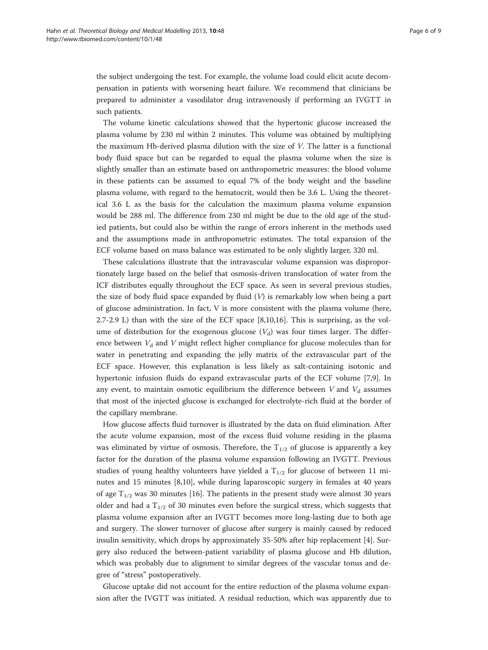the subject undergoing the test. For example, the volume load could elicit acute decompensation in patients with worsening heart failure. We recommend that clinicians be prepared to administer a vasodilator drug intravenously if performing an IVGTT in such patients.

The volume kinetic calculations showed that the hypertonic glucose increased the plasma volume by 230 ml within 2 minutes. This volume was obtained by multiplying the maximum Hb-derived plasma dilution with the size of V. The latter is a functional body fluid space but can be regarded to equal the plasma volume when the size is slightly smaller than an estimate based on anthropometric measures: the blood volume in these patients can be assumed to equal 7% of the body weight and the baseline plasma volume, with regard to the hematocrit, would then be 3.6 L. Using the theoretical 3.6 L as the basis for the calculation the maximum plasma volume expansion would be 288 ml. The difference from 230 ml might be due to the old age of the studied patients, but could also be within the range of errors inherent in the methods used and the assumptions made in anthropometric estimates. The total expansion of the ECF volume based on mass balance was estimated to be only slightly larger, 320 ml.

These calculations illustrate that the intravascular volume expansion was disproportionately large based on the belief that osmosis-driven translocation of water from the ICF distributes equally throughout the ECF space. As seen in several previous studies, the size of body fluid space expanded by fluid  $(V)$  is remarkably low when being a part of glucose administration. In fact, V is more consistent with the plasma volume (here, 2.7-2.9 L) than with the size of the ECF space [\[8,10,16](#page-8-0)]. This is surprising, as the volume of distribution for the exogenous glucose  $(V_d)$  was four times larger. The difference between  $V<sub>d</sub>$  and V might reflect higher compliance for glucose molecules than for water in penetrating and expanding the jelly matrix of the extravascular part of the ECF space. However, this explanation is less likely as salt-containing isotonic and hypertonic infusion fluids do expand extravascular parts of the ECF volume [\[7](#page-8-0),[9](#page-8-0)]. In any event, to maintain osmotic equilibrium the difference between V and  $V_d$  assumes that most of the injected glucose is exchanged for electrolyte-rich fluid at the border of the capillary membrane.

How glucose affects fluid turnover is illustrated by the data on fluid elimination. After the acute volume expansion, most of the excess fluid volume residing in the plasma was eliminated by virtue of osmosis. Therefore, the  $T_{1/2}$  of glucose is apparently a key factor for the duration of the plasma volume expansion following an IVGTT. Previous studies of young healthy volunteers have yielded a  $T_{1/2}$  for glucose of between 11 minutes and 15 minutes [[8,10](#page-8-0)], while during laparoscopic surgery in females at 40 years of age  $T_{1/2}$  was 30 minutes [\[16\]](#page-8-0). The patients in the present study were almost 30 years older and had a  $T_{1/2}$  of 30 minutes even before the surgical stress, which suggests that plasma volume expansion after an IVGTT becomes more long-lasting due to both age and surgery. The slower turnover of glucose after surgery is mainly caused by reduced insulin sensitivity, which drops by approximately 35-50% after hip replacement [\[4\]](#page-8-0). Surgery also reduced the between-patient variability of plasma glucose and Hb dilution, which was probably due to alignment to similar degrees of the vascular tonus and degree of "stress" postoperatively.

Glucose uptake did not account for the entire reduction of the plasma volume expansion after the IVGTT was initiated. A residual reduction, which was apparently due to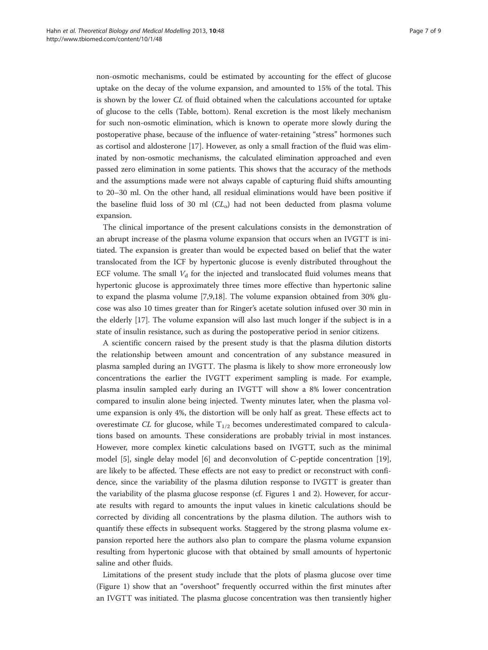non-osmotic mechanisms, could be estimated by accounting for the effect of glucose uptake on the decay of the volume expansion, and amounted to 15% of the total. This is shown by the lower CL of fluid obtained when the calculations accounted for uptake of glucose to the cells (Table, bottom). Renal excretion is the most likely mechanism for such non-osmotic elimination, which is known to operate more slowly during the postoperative phase, because of the influence of water-retaining "stress" hormones such as cortisol and aldosterone [\[17](#page-8-0)]. However, as only a small fraction of the fluid was eliminated by non-osmotic mechanisms, the calculated elimination approached and even passed zero elimination in some patients. This shows that the accuracy of the methods and the assumptions made were not always capable of capturing fluid shifts amounting to 20–30 ml. On the other hand, all residual eliminations would have been positive if the baseline fluid loss of 30 ml  $CL<sub>o</sub>$ ) had not been deducted from plasma volume expansion.

The clinical importance of the present calculations consists in the demonstration of an abrupt increase of the plasma volume expansion that occurs when an IVGTT is initiated. The expansion is greater than would be expected based on belief that the water translocated from the ICF by hypertonic glucose is evenly distributed throughout the ECF volume. The small  $V<sub>d</sub>$  for the injected and translocated fluid volumes means that hypertonic glucose is approximately three times more effective than hypertonic saline to expand the plasma volume [[7,9,18\]](#page-8-0). The volume expansion obtained from 30% glucose was also 10 times greater than for Ringer's acetate solution infused over 30 min in the elderly [[17\]](#page-8-0). The volume expansion will also last much longer if the subject is in a state of insulin resistance, such as during the postoperative period in senior citizens.

A scientific concern raised by the present study is that the plasma dilution distorts the relationship between amount and concentration of any substance measured in plasma sampled during an IVGTT. The plasma is likely to show more erroneously low concentrations the earlier the IVGTT experiment sampling is made. For example, plasma insulin sampled early during an IVGTT will show a 8% lower concentration compared to insulin alone being injected. Twenty minutes later, when the plasma volume expansion is only 4%, the distortion will be only half as great. These effects act to overestimate CL for glucose, while  $T_{1/2}$  becomes underestimated compared to calculations based on amounts. These considerations are probably trivial in most instances. However, more complex kinetic calculations based on IVGTT, such as the minimal model [\[5](#page-8-0)], single delay model [\[6](#page-8-0)] and deconvolution of C-peptide concentration [[19](#page-8-0)], are likely to be affected. These effects are not easy to predict or reconstruct with confidence, since the variability of the plasma dilution response to IVGTT is greater than the variability of the plasma glucose response (cf. Figures [1](#page-4-0) and [2\)](#page-4-0). However, for accurate results with regard to amounts the input values in kinetic calculations should be corrected by dividing all concentrations by the plasma dilution. The authors wish to quantify these effects in subsequent works. Staggered by the strong plasma volume expansion reported here the authors also plan to compare the plasma volume expansion resulting from hypertonic glucose with that obtained by small amounts of hypertonic saline and other fluids.

Limitations of the present study include that the plots of plasma glucose over time (Figure [1](#page-4-0)) show that an "overshoot" frequently occurred within the first minutes after an IVGTT was initiated. The plasma glucose concentration was then transiently higher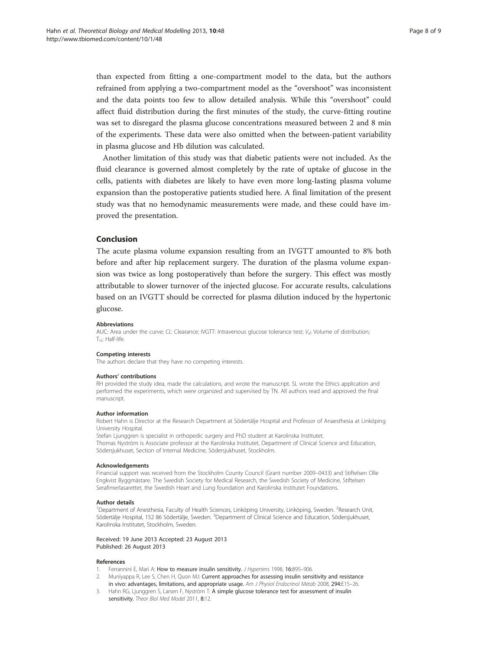<span id="page-7-0"></span>than expected from fitting a one-compartment model to the data, but the authors refrained from applying a two-compartment model as the "overshoot" was inconsistent and the data points too few to allow detailed analysis. While this "overshoot" could affect fluid distribution during the first minutes of the study, the curve-fitting routine was set to disregard the plasma glucose concentrations measured between 2 and 8 min of the experiments. These data were also omitted when the between-patient variability in plasma glucose and Hb dilution was calculated.

Another limitation of this study was that diabetic patients were not included. As the fluid clearance is governed almost completely by the rate of uptake of glucose in the cells, patients with diabetes are likely to have even more long-lasting plasma volume expansion than the postoperative patients studied here. A final limitation of the present study was that no hemodynamic measurements were made, and these could have improved the presentation.

# Conclusion

The acute plasma volume expansion resulting from an IVGTT amounted to 8% both before and after hip replacement surgery. The duration of the plasma volume expansion was twice as long postoperatively than before the surgery. This effect was mostly attributable to slower turnover of the injected glucose. For accurate results, calculations based on an IVGTT should be corrected for plasma dilution induced by the hypertonic glucose.

#### Abbreviations

AUC: Area under the curve; CL: Clearance; IVGTT: Intravenous glucose tolerance test;  $V_d$ : Volume of distribution;  $T_{1/2}$ : Half-life.

#### Competing interests

The authors declare that they have no competing interests.

#### Authors' contributions

RH provided the study idea, made the calculations, and wrote the manuscript. SL wrote the Ethics application and performed the experiments, which were organized and supervised by TN. All authors read and approved the final manuscript.

#### Author information

Robert Hahn is Director at the Research Department at Södertälje Hospital and Professor of Anaesthesia at Linköping University Hospital.

Stefan Ljunggren is specialist in orthopedic surgery and PhD student at Karolinska Institutet. Thomas Nyström is Associate professor at the Karolinska Institutet, Department of Clinical Science and Education, Södersjukhuset, Section of Internal Medicine, Södersjukhuset, Stockholm.

#### Acknowledgements

Financial support was received from the Stockholm County Council (Grant number 2009–0433) and Stiftelsen Olle Engkvist Byggmästare. The Swedish Society for Medical Research, the Swedish Society of Medicine, Stiftelsen Serafimerlasarettet, the Swedish Heart and Lung foundation and Karolinska Institutet Foundations.

#### Author details

<sup>1</sup>Department of Anesthesia, Faculty of Health Sciences, Linköping University, Linköping, Sweden. <sup>2</sup>Research Unit, Södertälje Hospital, 152 86 Södertälje, Sweden. <sup>3</sup>Department of Clinical Science and Education, Södersjukhuset, Karolinska Institutet, Stockholm, Sweden.

Received: 19 June 2013 Accepted: 23 August 2013 Published: 26 August 2013

#### References

- 1. Ferrannini E, Mari A: How to measure insulin sensitivity. J Hypertens 1998, 16:895-906.
- 2. Muniyappa R, Lee S, Chen H, Quon MJ: Current approaches for assessing insulin sensitivity and resistance in vivo: advantages, limitations, and appropriate usage. Am J Physiol Endocrinol Metab 2008, 294:E15-26.
- 3. Hahn RG, Ljunggren S, Larsen F, Nyström T: A simple glucose tolerance test for assessment of insulin sensitivity. Theor Biol Med Model 2011, 8:12.